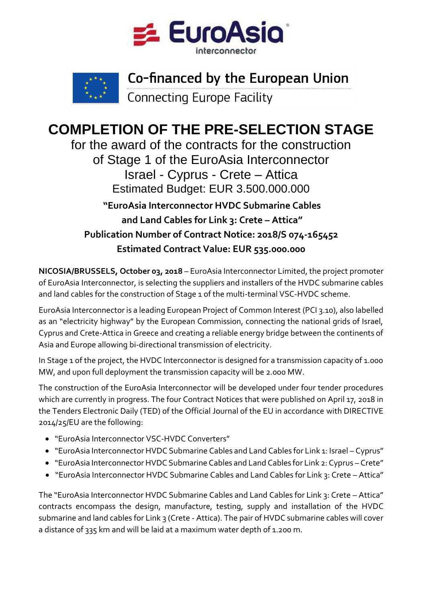



## Co-financed by the European Union

**Connecting Europe Facility** 

## **COMPLETION OF THE PRE-SELECTION STAGE**

for the award of the contracts for the construction of Stage 1 of the EuroAsia Interconnector Israel - Cyprus - Crete – Attica Estimated Budget: EUR 3.500.000.000 **"EuroAsia Interconnector HVDC Submarine Cables** 

 **and Land Cables for Link 3: Crete - Attica" Publication Number of Contract Notice: 2018/S 074-165452 Estimated Contract Value: EUR 535.000.000** 

**NICOSIA/BRUSSELS, October 03, 2018** – EuroAsia Interconnector Limited, the project promoter of EuroAsia Interconnector, is selecting the suppliers and installers of the HVDC submarine cables and land cables for the construction of Stage 1 of the multi-terminal VSC-HVDC scheme.

EuroAsia Interconnector is a leading European Project of Common Interest (PCI 3.10), also labelled as an "electricity highway" by the European Commission, connecting the national grids of Israel, Cyprus and Crete-Attica in Greece and creating a reliable energy bridge between the continents of Asia and Europe allowing bi-directional transmission of electricity.

In Stage 1 of the project, the HVDC Interconnector is designed for a transmission capacity of 1.000 MW, and upon full deployment the transmission capacity will be 2.000 MW.

The construction of the EuroAsia Interconnector will be developed under four tender procedures which are currently in progress. The four Contract Notices that were published on April 17, 2018 in the Tenders Electronic Daily (TED) of the Official Journal of the EU in accordance with DIRECTIVE 2014/25/EU are the following:

- "EuroAsia Interconnector VSC-HVDC Converters"
- "EuroAsia Interconnector HVDC Submarine Cables and Land Cables for Link 1: Israel Cyprus"
- "EuroAsia Interconnector HVDC Submarine Cables and Land Cables for Link 2: Cyprus Crete"
- "EuroAsia Interconnector HVDC Submarine Cables and Land Cables for Link 3: Crete Attica"

The "EuroAsia Interconnector HVDC Submarine Cables and Land Cables for Link 3: Crete – Attica" contracts encompass the design, manufacture, testing, supply and installation of the HVDC submarine and land cables for Link 3 (Crete - Attica). The pair of HVDC submarine cables will cover a distance of 335 km and will be laid at a maximum water depth of 1.200 m.